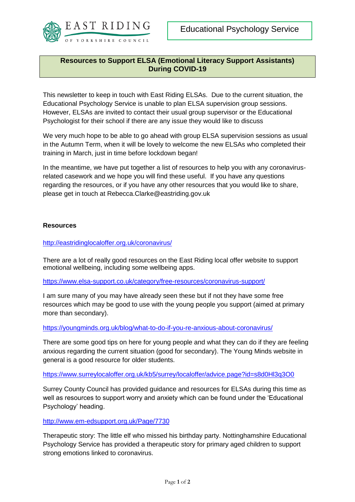

# **Resources to Support ELSA (Emotional Literacy Support Assistants) During COVID-19**

This newsletter to keep in touch with East Riding ELSAs. Due to the current situation, the Educational Psychology Service is unable to plan ELSA supervision group sessions. However, ELSAs are invited to contact their usual group supervisor or the Educational Psychologist for their school if there are any issue they would like to discuss

We very much hope to be able to go ahead with group ELSA supervision sessions as usual in the Autumn Term, when it will be lovely to welcome the new ELSAs who completed their training in March, just in time before lockdown began!

In the meantime, we have put together a list of resources to help you with any coronavirusrelated casework and we hope you will find these useful. If you have any questions regarding the resources, or if you have any other resources that you would like to share, please get in touch at [Rebecca.Clarke@eastriding.gov.uk](mailto:Rebecca.Clarke@eastriding.gov.uk)

# **Resources**

# <http://eastridinglocaloffer.org.uk/coronavirus/>

There are a lot of really good resources on the East Riding local offer website to support emotional wellbeing, including some wellbeing apps.

<https://www.elsa-support.co.uk/category/free-resources/coronavirus-support/>

I am sure many of you may have already seen these but if not they have some free resources which may be good to use with the young people you support (aimed at primary more than secondary).

### <https://youngminds.org.uk/blog/what-to-do-if-you-re-anxious-about-coronavirus/>

There are some good tips on here for young people and what they can do if they are feeling anxious regarding the current situation (good for secondary). The Young Minds website in general is a good resource for older students.

#### <https://www.surreylocaloffer.org.uk/kb5/surrey/localoffer/advice.page?id=s8d0Hl3q3O0>

Surrey County Council has provided guidance and resources for ELSAs during this time as well as resources to support worry and anxiety which can be found under the 'Educational Psychology' heading.

#### <http://www.em-edsupport.org.uk/Page/7730>

Therapeutic story: The little elf who missed his birthday party. Nottinghamshire Educational Psychology Service has provided a therapeutic story for primary aged children to support strong emotions linked to coronavirus.